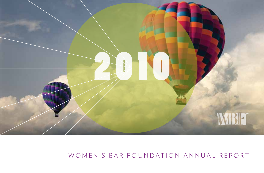

# WOMEN'S BAR FOUNDATION ANNUAL REPORT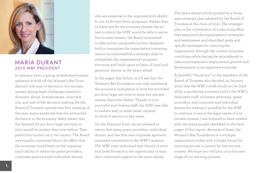

### **MARIA DURANT** 2010 WBF PRESIDENT

In January 2010, a group of dedicated women gathered to kick off the Women's Bar Foundation's 17th year of service to low-income women facing legal challenges related to domestic abuse, homelessness, incarceration and end-of-life decision making. As the Board of Trustees opened that first meeting of the year, many predicted that the protracted downturn in the economy likely meant that the demand for *pro bono* legal services in 2010 would be greater than ever before. That prediction turned out to be correct. The Board was equally concerned about the effect that the economy would have on the organization's ability to retain the grant providers, corporate sponsors and individual donors

who are essential to the organization's ability to run its five *pro bono* programs. Rather than sit back and let the economy dictate the extent to which the WBF would be able to serve low-income women, the Board committed to take action—purposeful action designed both to maximize the organization's existing resources and establish a strategic plan to strengthen the organization's program structure and build upon its base of loyal and generous donors in the years ahead.

In the pages that follow, you'll see that the Women's Bar Foundation not only weathered the economic turbulence of 2010 but provided *pro bono* legal services to more low-income women than ever before. Thanks to a resourceful and tireless staff, the WBF was able to sustain and, in some cases, expand its level of service in key areas.

On the financial front, we are pleased to report that many grant providers, individual donors, and law firm and corporate sponsors remained committed to the WBF's mission. The WBF even welcomed new donors in 2010 and looks forward to the opportunity to earn their continued support in the years ahead.

The years ahead will be guided by a threeyear strategic plan adopted by the Board of Trustees at the close of 2010. The strategic plan is the culmination of a year-long effort that examined the organization's strengths and weaknesses and identified goals and specific strategies for carrying the organization through the current economic conditions while laying the groundwork to take more expansive steps toward growth and development in an improved economy.

A heartfelt "thank you" to the members of the Board of Trustees who decided, in January 2010, that the WBF's work would not be limited by a sputtering economy and to the WBF's dedicated staff, volunteer attorneys, grant providers, and corporate and individual donors for making it possible for the WBF to continue to serve the legal needs of lowincome women. I am honored to have worked with the many people identified in the back pages of this report. Because of them, the Women's Bar Foundation is a stronger organization today with a bright future for ensuring access to justice for low-income women. We hope you will join us in the next stage of our exciting journey.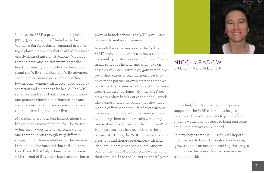In 2010, the WBF, a private not- for- profit 501(c) 3, separate but affiliated with the Women's Bar Association, engaged in a strategic planning process that resulted in a more clearly defined mission statement. We hope that the new mission statement helps the legal community and funders better understand the WBF's mission. The WBF advances social and economic justice by providing low-income women with access to legal representation and a means to be heard. The WBF relies on hundreds of enthusiastic volunteers and generous individuals, foundations and corporations to help low-income women and their children improve their lives.

My daughter Hayden just learned about the life cycle of a monarch butterfly. The WBF's volunteer lawyers help low-income women and their children through very difficult stages in their lives—whether it's the divorce from an abusive husband that will set them free, the will that helps them come to peace with the end of life, or the legal information to prevent homelessness—the WBF's volunteer lawyers do make a difference.

In much the same way as a butterfly, the WBF's volunteer attorneys follow a transformational cycle. Many of our volunteers begin in law school as interns, and then take on cases as volunteer attorneys, gain incredibly rewarding experience, and then, after they have made partner or even started their own law firms, they come back to the WBF as mentors. After an experience with the WBF, our attorneys often break out of their shell, much like a caterpillar, and realize that they have made a difference in the life of a low-income, homeless, incarcerated, or battered woman by helping them to secure safety, housing, peace of mind and freedom through the WBF. Helping attorneys find optimism in these pessimistic times, the WBF continues to help attorneys and donors re-connect with their idealism in a way that has a sustaining impact on the lives of a low-income women and their families. Like the "butterfly effect", your



### nicci meadow EXFCUTIVE DIRECTOR

individual, firm, foundation or corporate support of the WBF can make a large difference in the WBF's ability to provide low income women with access to legal representation and a means to be heard.

It is my hope that this 2010 Annual Report inspires you to break through your old skin, grow and take on new and exciting challenges to improve the lives of low-income women and their children.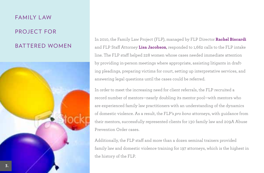# Family Law PROJECT FOR battered women



In 2010, the Family Law Project (FLP), managed by FLP Director **Rachel Biscardi** and FLP Staff Attorney **Lisa Jacobson**, responded to 1,662 calls to the FLP intake line. The FLP staff helped 228 women whose cases needed immediate attention by providing in-person meetings where appropriate, assisting litigants in drafting pleadings, preparing victims for court, setting up interpretative services, and answering legal questions until the cases could be referred.

In order to meet the increasing need for client referrals, the FLP recruited a record number of mentors—nearly doubling its mentor pool—with mentors who are experienced family law practitioners with an understanding of the dynamics of domestic violence. As a result, the FLP's *pro bono* attorneys, with guidance from their mentors, successfully represented clients for 130 family law and 209A Abuse Prevention Order cases.

Additionally, the FLP staff and more than a dozen seminal trainers provided family law and domestic violence training for 197 attorneys, which is the highest in the history of the FLP.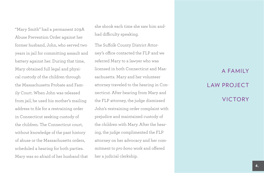"Mary Smith" had a permanent 209A Abuse Prevention Order against her former husband, John, who served two years in jail for committing assault and battery against her. During that time, Mary obtained full legal and physical custody of the children through the Massachusetts Probate and Family Court. When John was released from jail, he used his mother's mailing address to file for a restraining order in Connecticut seeking custody of the children. The Connecticut court, without knowledge of the past history of abuse or the Massachusetts orders, scheduled a hearing for both parties. Mary was so afraid of her husband that

she shook each time she saw him andhad difficulty speaking.

The Suffolk County District Attorney's office contacted the FLP and we referred Mary to a lawyer who was licensed in both Connecticut and Massachusetts. Mary and her volunteer attorney traveled to the hearing in Connecticut. After hearing from Mary and the FLP attorney, the judge dismissed John's restraining order complaint with prejudice and maintained custody of the children with Mary. After the hearing, the judge complimented the FLP attorney on her advocacy and her commitment to *pro bono* work and offered her a judicial clerkship.

# a family **LAW PROJECT VICTORY**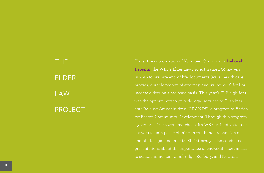The **ELDER LAW PROJECT** 

Under the coordination of Volunteer Coordinator **Deborah Drosnin**, the WBF's Elder Law Project trained 30 lawyers in 2010 to prepare end-of-life documents (wills, health care was the opportunity to provide legal services to Grandparents Raising Grandchildren (GRANDS), a program of Action 25 senior citizens were matched with WBF-trained volunteer end-of-life legal documents. ELP attorneys also conducted presentations about the importance of end-of-life documents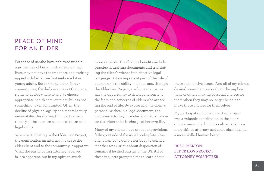# PEACE OF MIND FOR AN FLDER

For those of us who have achieved middleage, the idea of being in charge of our own lives may not have the freshness and exciting appeal it did when we first embraced it as young adults. But for many elders in our communities, the daily exercise of their legal rights to decide where to live, to choose appropriate health care, or to pay bills is not something taken for granted. Often, the decline of physical agility and mental acuity necessitates the sharing (if not actual surrender) of the exercise of some of these basic legal rights.

When participating in the Elder Law Project, the contribution an attorney makes to the elder client and to the community is apparent. What the participating attorney receives is less apparent, but in my opinion, much



more valuable. The obvious benefits include practice in drafting documents and translating the client's wishes into effective legal language. But an important part of the role of counselor is the ability to listen, and, through the Elder Law Project, a volunteer attorney has the opportunity to listen generously to the fears and concerns of elders who are facing the end of life. By expressing the client's personal wishes in a legal document, the volunteer attorney provides another occasion for that elder to be in charge of her own life.

Many of my clients have asked for provisions falling outside of the usual boilerplate. One client wanted to donate her body to science. Another was curious about disposition of remains if he died outside of the US. All of these requests prompted me to learn about

these substantive issues. And all of my clients desired some discussion about the implications of others making personal choices for them when they may no longer be able to make those choices for themselves.

My participation in the Elder Law Project was a valuable contribution to the elders of my community, but it has also made me a more skilled attorney, and more significantly, a more skilled human being.

#### **Iris J. Melton Elder Law Project Attorney Volunteer**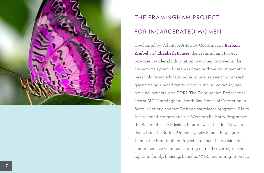

# THE FRAMINGHAM PROJECT for Incarcerated Women

Co-chaired by Volunteer Attorney Coordinators **Barbara Zimbel** and **Elizabeth Brusie**, the Framingham Project provides civil legal information to women involved in the corrections system. In teams of two or three, volunteer attorneys hold group educational seminars, answering inmates' questions on a broad range of topics including family law, housing, benefits, and CORI. The Framingham Project operates at MCI-Framingham, South Bay House of Correction in Suffolk County, and two Boston post-release programs, Aid to Incarcerated Mothers and the Women's Re-Entry Program of the Boston Rescue Mission. In 2010, with the aid of law students from the Suffolk University Law School Rappaport Center, the Framingham Project launched the revision of a comprehensive volunteer training manual covering relevant topics in family, housing, benefits, CORI and immigration law.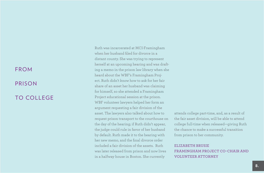# FROM PRISON TO COLLEGE

Ruth was incarcerated at MCI-Framingham when her husband filed for divorce in a distant county. She was trying to represent herself at an upcoming hearing and was drafting a memo in the prison law library when she heard about the WBF's Framingham Project. Ruth didn't know how to ask for her fair share of an asset her husband was claiming for himself, so she attended a Framingham Project educational session at the prison. WBF volunteer lawyers helped her form an argument requesting a fair division of the asset. The lawyers also talked about how to request prison transport to the courthouse on the day of the hearing; if Ruth didn't appear, the judge could rule in favor of her husband by default. Ruth made it to the hearing with her new memo, and the final divorce order included a fair division of the assets. Ruth was later released from prison and now lives in a halfway house in Boston. She currently

attends college part-time, and, as a result of the fair asset division, will be able to attend college full-time when released—giving Ruth the chance to make a successful transition from prison to her community.

#### **Elizabeth Brusie Framingham Project Co-Chair and Volunteer Attorney**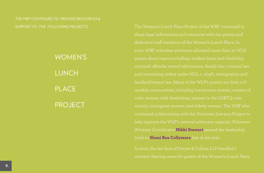*The WBF continued to provide resources &* 

Women's **LUNCH PLACE PROJECT** 

*support to the following projects :* The Women's Lunch Place Project of the WBF continued to share legal information and resources with the guests and 2010, WBF volunteer attorneys educated more than 30 WLP guests about topics including: student loans and disability, and restraining orders under MGL c. 209A, immigration and landlord/tenant law. Many of the WLP's guests are from vulcolor, women with disabilities, women in the LGBTQ community, immigrant women, and elderly women. The WBF also continued collaborating with the Volunteer Lawyers Project to Attorney Coordinator **Nikki Stewart** passed the leadership torch to **Shani Rea Collymore** late in the year.

> In 2010, the law firm of Dwyer & Collora LLP handled 7 warrant clearing cases for guests of the Women's Lunch Place.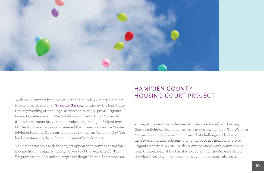

With some support from the WBF, the "Hampden County Housing Project", which is run by **Suzanne Garrow**, continued the long tradition of providing critical legal services to over 350 *pro se* litigants facing homelessness in Western Massachusetts. In 2010, over 20 different volunteer lawyers and 3 volunteer paralegals helped over 60 clients. The attorneys volunteered their time to appear in Western Division Housing Court on Thursdays (known as "Eviction Day") to lend assistance to those facing imminent homelessness.

Volunteer attorneys with the Project appeared in court to assist lowincome litigants approximately 40 weeks of the year in 2010. The Program issued a "hundred lawyer challenge" in mid-September 2010

# Hampden County HOUSING COURT PROJECT

aiming to commit two volunteer attorneys each week in Housing Court on Eviction Day to address the ever-growing need. The Western Massachusetts legal community met that challenge and, as a result, the Project was able substantially to increase the number of *pro se* litigants it served in 2010. With continued energy and commitment from the members of the bar, it is expected that the Project's strong showing in 2010 will continue for an even more successful 2011.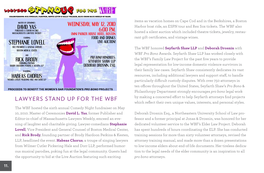

PROCEEDS TO BENEFIT THE WOMEN'S BAR FOUNDATION'S PRO BONO PROJECTS

# LAWYERS STAND UP FOR THE WBF

The WBF hosted the sixth annual Comedy Night fundraiser on May 10, 2010. Master of Ceremonies **David L. Yas**, former Publisher and Editor-in-chief of Massachusetts Lawyers Weekly, emceed an evening of laughter and charitable giving. Lawyer-comedians **Stephanie Lovell**, Vice President and General Counsel of Boston Medical Center, and **Rick Brody**, founding partner of Brody Hardoon Perkins & Kesten, LLP, headlined the event. **Habeas Chorus**, a troupe of singing lawyers from Wilmer Cutler Pickering Hale and Dorr LLP, performed humorous musical parodies, poking fun at the legal community. Guests had the opportunity to bid at the Live Auction featuring such exciting

items as vacation homes on Cape Cod and in the Berkshires, a Boston Harbor boat ride, an ESPN tour and Rex Sox tickets. The WBF also hosted a silent auction which included theatre tickets, jewelry, restaurant gift certificates, and vintage wines.

The WBF honored **Seyfarth Shaw LLP** and **Deborah Drosnin** with WBF *Pro Bono* Awards. Seyfarth Shaw LLP has worked closely with the WBF's Family Law Project for the past five years to provide legal representation for low-income domestic violence survivors in their family law cases. Seyfarth Shaw consistently dedicates its vast resources, including additional lawyers and support staff, to handle particularly difficult custody disputes. With over 750 attorneys in ten offices throughout the United States, Seyfarth Shaw's *Pro Bono* & Philanthropy Department strongly encourages *pro bono* legal work by making a concerted effort to help Seyfarth attorneys find projects which reflect their own unique values, interests, and personal styles.

Deborah Drosnin Esq., a Northeastern University School of Law professor and a former principal at Jonas & Drosnin, was honored for her dedicated volunteer service to the WBF's Elder Law Project. Deborah has spent hundreds of hours coordinating the ELP. She has conducted training sessions for more than sixty volunteer attorneys, revised the attorney training manual, and made more than a dozen presentations to low-income elders about end-of-life documents. Her tireless dedication to the legal needs of the elder community is an inspiration to all *pro bono* attorneys.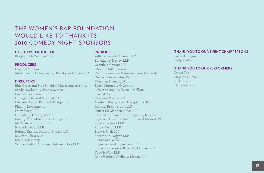# THE WOMEN'S BAR FOUNDATION WOULD LIKE TO THANK ITS 2010 COMEDY NIGHT SPONSORS

#### **EXECUTIVE PRODUCER**

Bingham McCutchen LLP

#### **PRODUCERS**

Dwyer & Collora, LLP Mintz, Levin, Cohn, Ferris, Glovsky and Popeo, P.C.

#### **DIRECTORS**

Blue Cross and Blue Shield of Massachusetts, Inc. Brody Hardoon Perkins & Kesten, LLP Burns & Levinson LLP Donoghue Barrett & Singal, P.C. Edwards Angell Palmer & Dodge LLP Fidelity Investments Foley Hoag LLP Greenberg Traurig, LLP Liberty Mutual Insurance Company McCarter & English, LLP Nixon Peabody LLP Robins, Kaplan, Miller & Ciresi L.L.P. Seyfarth Shaw LLP StoneTurn Group, LLP Wilmer Cutler Pickering Hale and Dorr LLP

#### **PATRONS**

Adler Pollock & Sheehan P.C. Bowditch & Dewey, LLP Cetrulo & Capone LLP Choate, Hall & Stewart LLP Conn Kavanaugh Rosenthal Peisch & Ford, LLP Demeo & Associates, P.C. Donovan Hatem LLP Eckel, Morgan & O'Connor Eckert Seamans Cherin & Mellott, LLC Ernst & Young Goodwin Procter LLP Meehan, Boyle, Black & Bogdanow, P.C. Morgan Brown & Joy, LLP Nutter McClennen & Fish LLP O'Brien & Levine Court Reporting Services Ogletree, Deakins, Nash, Smoak & Stewart, P.C. Proskauer Rose LLP Ropes & Gray LLP Sally & Fitch LLP Sherin and Lodgen LLP Sloane and Walsh LLP Sugarman and Sugarman, P.C. Sugarman, Rogers, Barshak, & Cohen, P.C. Todd & Weld LLP Zelle Hofman Voelbel & Mason LLP

#### **THANK YOU TO OUR EVENT CHAIRPERSONS**

Susan Finegan Sally Walker

#### **THANK YOU TO OUR PERFORMERS**

David Yas Stephanie Lovell Rick Brody Habeas Chorus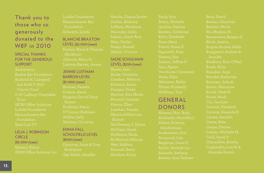# Thank you to those who so generously donated to the **WBF** in 2010

#### Special Thanks for the Generous **SUPPORT**

Boston Bar Foundation and Adah F. Hall

## Lelia J. Robinson CIRCLE<sup></sup> (\$5,000+/year) IKON Office Solution, Inc.

# Blanche Braxton  $LEVEL$  (\$2,500+/year)

Loitman Barron, Jennie

## Jennie Loitman **BARRON LEVEL**

(\$1,000+/year)

#### Emma Fall SCHOLFIELD LEVEL (\$500+/year)

Donovan, Janet & Tony

Hanlon, Donna Stoehr Jordan, Anthony

### SADIE SCHUI MAN

LEVEL (\$250+/year) Butler, Christine MacLeod-Mancuso, McManus, Paula

Quirion, Pauline Reuben, Catherine Schorr, Susan E. Winter, Kimberly

## **GENERAL** Donors

Ainbinder, Meredith L. Allaire, Kristina

Bissonnette, Reagan S. Bradbury, Erin O'Neil Carozza, Amanda B. Carter, Kate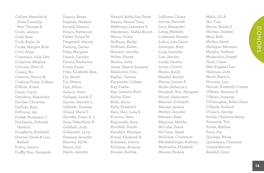Colliers Meredith & Grew Connolly, Hon. Thomas E. Conte, Jessica Cook, Kate Cook, Kathy Jo Cooke, Margret Ruth Corti, Anna Cosentino, Julia Satti Cosgrove, Meghan Cottreau, Sheri A. Cowan, Mo Cremins, Nancy M. Cushing-Towle, Colleen D'Aloia, Krista Daum, Caryn Davidson, Alexandra Davilas, Christina DelTufo, Kara DeYoung, Jay Dodek, Rosemary C. DosSantos, Deborah Hesford Dougherty, Kimberly Downer, Sarah & Lani Radack Dubin, Jessica Duffly, Hon. Fernande

Dupuis, Renee Engman, Heather Farwell, Eleanor Fergus, Katherine Fisher, Yuliya M. Fitzgerald, Warren Fleming, Darien Foley, Margaret French, Carolyn Freund, Katherine Friery, Susan Fries, Elizabeth Shea Fry, Shanti Fry, Sharon Fujii, Akiyo Gallant, Steve Galligan, Lynda T. Garner, Jennifer L. Gilbreth, Vanessa Giraud, Marie E. Glovsky, Susan G. L. Gnia, Usha-Kiran K. Goldfarb, Judy Goldsmith, Lynn Greaney, Jennifer Hanson, Jill M. Harris, Sue Hatch, Jennifer

Hazard, Bobbi-Sue Doyle Healey, Maura Tracy Heffernan, Lawrence P. Henderson, Tashia Bunch Henry, Vickie Hoffman, Becky Hoffman, Karen Howard, Jennifer Huber, Alyssa Huston, Julia Jones, Sharon Simpson Kalaitzidis, Viki Kaplan, Tamsin Karpinsky, Colleen Kay, Fredie Kay, Jeanette Ruth Keiley, Ellen Kelly, Alicia Kelly, Elizabeth Kern, Hon. Lelia R. Kolovos, Peter Koprowski, Gina Kornfeld, Minde Kornfeld, Monique Kowal, Elizabeth A. Kuhlman, Jessica Kuhlman, Richard Kramer, Andrea

LaPlume, Chiara Levine, Devorah Levy, Alexander Limaj, Michelle Lindmark, Pamela Loftus, Lisa Grant Lonergan, Amy Long, Danielle Low, Jessica Lundy, Sandra Lyons, Crystal Maitin, Emily Mandel, Rachel Marini, Lauren P. Marks, Rebecca L. Marshall, Hon. Margaret Martel, Genevieve Masoud, Sa'adiyah Massey, Jessica Mather, Jennifer Mattson, Ruth Mazzone, Martha McCabe, Diane McClean, Sarah McGrane, Constance Mecklenburger, Kathryn Medvedow, Elisabeth Meister, Pamela

Mello, Jill A. Mo, Yina Moore, Ronda P. Moreau, Darlene Muir, Beth Mullen, Sarah Mulligan, Maureen Murphy, Siobhan Musacchio, Joseph Nash, Claire New England Law Newman, Jody North, Karis L. Novotny, Lois Nuzum, Kimberly Cramer O'Brien, Shannon P. O'Brien, Suzanne O'Donoghue, Robin Dana O'Keefe, Richard O'Leary, George Petilla, Charlotte Marie Pomarole, Tim Porter, Alathea Proal, Pia Quiroga, Maria Quitadamo, Christine Liliana Biscotti Randall, Donn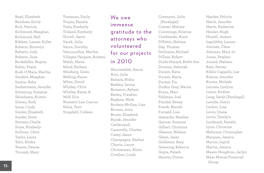Read, Elizabeth Renshaw, Emily Rich, Patricia Richmond, Meaghan Richmond, Nell Rikleen, Lauren Stiller Roberts, Bronwyn Roberts, Judy Roberts, June Rockefeller, Regina Rubin, Diane Rush O'Mara, Martha Sanders, Meaghan Santos, Asha Saubermann, Jennifer Schaming, Suzanne Shirahama, Kristin Silman, Ruth Snow, Cindy Snyder, Elisabeth Snyder, Steve Stevens, Charla Stone, Kimberly Sullivan, Chris Taylor, Laura Telci, Alisha Tessier, Denise Titcomb, Mary

Tomasino, Emily Torpey, Pamela Train, Kimberly Troland, Kimberly Tyrrell, Jayne Vacek, Julia Varon, Dorothy Vasconcellos, Martha Villegas-Vazquez, Ariatna Walsh, Maria Wand, Barbara Weisberg, Gwen Welling, Karen White, David Whitley, Chris Whitley, Karen A. Wolf, Erin Women's Law Caucus Yahia, Terri Yougdahl, Colleen

# We owe immense gratitude to the at torneys who volunteered for our projects in 2010

Abuirmeileh, Azure Aziz, Julie Balsara, Nisha Barkley, Serina Barzanni, Ayham Baxley, Franklin Beglane, Mark Brodeur-McGan, Lisa Brumer, Julia Brusie, Elizabeth Buyak, Jennifer Cardaropoli Casartello, Charles Casey, Jason Champagne, Nadine Chavin, Lance Christensen, Alicia Condino, Linda

Corenzwit, Julia (Paralegal) Conner, Melissa Cummings, Kristine Czerkawski, Anne D'Alelio, Melissa Day, Thomas DeGrazia, Michael DiTusa, Robert Doyle-Hazard, Bobbi-Sue Drosnin, Deborah Durant, Katie Durant, Maria Durant, Pia Durkin Gray, Marita Evans, Marc Feldman, Joel Frankel, Renay Freark, Mariah Furnald, Lisa Gamache, Heather Garrow, Suzanne Gilbert, Christina Gleason, Malana Glenn, Janet Goldstein, Amy Greening, Rebecca Gupta, Palash Hanlon, Donna

Hardee, Felicity Hatch, Jennifer Hatch, Katherine Heisler, Hugh Howell, Jessica Ingoldsby, Lauren Jiminez, Clara Johnson, Mary Jo Jonas, Stephen Junaid, Maheen Katz, Steven Kiklis-Cappello, Lee Krause, Jennifer Kunitz, Michele Lacoste, Lyslynn Lance, Andrea Lang, Sarah (Paralegal) Lavelle, Justin Leclerc, Lisa Levin, Diane Levin, Tamilyn Lindmark, Pamela Lynn, Christina Mahoney, Christopher Marques, Jessica Martin, Ingrid Martin, Jessica Mason Houghton, Jaclyn Mass Mutual Financial Group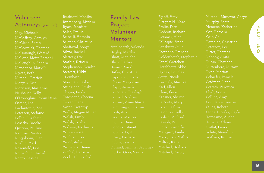# Volunteer Attorneys (cont'd)

May, Michaela McCaffrey, Carolyn McDonough, Edward McLane, Moira Bersani McLaughlin, Sandra Mendonca, Mary Lu Myers, Beth Mitchell, Patricia Morgan, Erin Neubauer, Kelly O'Donoghue, Robin Dana Owens, Pia Pollin, Elizabeth Posatko, Brooke Quirion, Pauline Roellig, Mark Rosenfeld, Lisa Rothschild, Daniel Rozzo, Jessica

Ruttenberg, Miriam Ryan, Jennifer Sales, Emilia Serrano, Christina Shaffaval, Sonya Silvia, Rachel Slattery, Eve Stathis, Kristen Stephenson, Kendra Stewart, Nikki Strickland, Emily Thayer, Linda Townsend, Sheena Tsizer, Elena Varon, Dorothy Walls, Megan Miller Walsh, Emily Walsh, Trisha Walwyn, Nathasha White, Jesse Wichter, Lisa Zimbel, Barbara Zoob-Hill, Rachel

## Family Law Project Volunteer Mentors

Applegarth, Valenda Bagley, Martha Bhatt, Manisha Black, Barbra Boonin, Sarah Butler, Christine Capozzoli, Diane Chase, Mary Ann Corcoran, Sheelagh Cornell, Andrew Corraro, Anne Marie Cummings, Kristine Dougherty, Kim Drury, Barbara Durand, Jennifer Sevigny-Durkin Gray, Marita

Egloff, Amy Fitzgerald, Marc Gillespie, Anne Ginsburg, Julie Giordano, Frances Goldenhersh, Stephanie Graef, Gretchen Hershberg, Abbe Hynes, Douglas Karmely, Maritza Kief, Ellen Klein, Ilene Krasner, Sherrie LaCivita, Mary Larson, Olive Leighton, Kelly Leshin, Michael Levesh, Pat Mangum, Paula Merryman, Mithra Milton, Katie Mitchell, Barbara Mitchell, Carolyn

Mitchell-Munevar, Caryn Murphy, Scott Nemens, Katherine Oro, Barbara Otis, Gail Paradiso, Christina Ritter, Thomas Robboy, Anita Russo, Charlene Ruttenberg, Miriam Ryan, Marian Serrato, Veronica Shah, Sonia Squillante, Denise Stiles, Robert Tomasino, Alisha Tutwiler, Claire White, Meredith Withers, Ruthie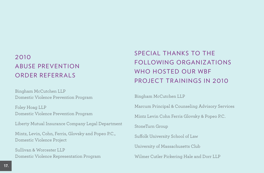# 2010 ABUSE PREVENTION Order Referral S

Bingham McCutchen LLP Domestic Violence Prevention Program

Foley Hoag LLP Domestic Violence Prevention Program

Liberty Mutual Insurance Company Legal Department

Mintz, Levin, Cohn, Ferris, Glovsky and Popeo P.C., Domestic Violence Project

Sullivan & Worcester LLP Domestic Violence Representation Program

# SPECIAL THANKS TO THE following organizations WHO HOSTED OUR WBF PROJECT TRAININGS IN 2010

Bingham McCutchen LLP

Marcum Principal & Counseling Advisory Services

Mintz Levin Cohn Ferris Glovsky & Popeo P.C.

StoneTurn Group

Suffolk University School of Law

University of Massachusetts Club

Wilmer Cutler Pickering Hale and Dorr LLP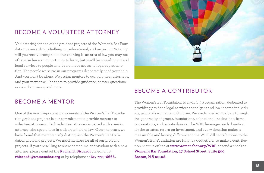# BECOME A VOLUNTEER ATTORNEY

Volunteering for one of the *pro bono* projects of the Women's Bar Foundation is rewarding, challenging, educational, and inspiring. Not only will you receive comprehensive training in an area of law you may not otherwise have an opportunity to learn, but you'll be providing critical legal services to people who do not have access to legal representation. The people we serve in our programs desperately need your help. And you won't be alone. We assign mentors to our volunteer attorneys, and your mentor will be there to provide guidance, answer questions, review documents, and more.



# BECOME A CONTRIBUTOR

## B FCOME A MENTOR

One of the most important components of the Women's Bar Foundation *pro bono* projects is our commitment to provide mentors to volunteer attorneys. Each volunteer attorney is paired with a senior attorney who specializes in a discrete field of law. Over the years, we have found that mentors truly distinguish the Women's Bar Foundation *pro bono* projects. We need mentors for all of our *pro bono* projects. If you are willing to share some time and wisdom with a new attorney, please contact the **Rachel B. Biscardi** via e-mail at **rbiscardi@womensbar.org** or by telephone at **617-973-6666.**

The Women's Bar Foundation is a 501 (c)(3) organization, dedicated to providing *pro bono* legal services to indigent and low-income individuals, primarily women and children. We are funded exclusively through the generosity of grants, foundations, educational institutions, firms, corporations, and private donors. The WBF leverages each donation for the greatest return on investment, and every donation makes a measurable and lasting difference to the WBF. All contributions to the Women's Bar Foundation are fully tax deductible. To make a contribution, visit us online at **www.womensbar.org/WBF**, or send a check to: **Women's Bar Foundation, 27 School Street, Suite 500, Boston, MA 02108.**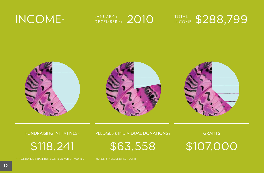



fundraising Initiatives 1

\$118,241

\* These numbers have not been reviewed or audited 1 Numbers include direct costs

pledges & individual donations 1

\$63,558

**GRANTS** 

\$107,000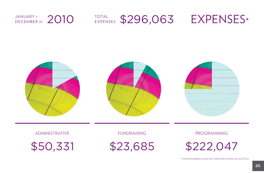#### 2010 EXPENSES \$296,063 EXPENSES\* January 1 DECEMBER 31 e xpenses



administrative

1 \$50,331

**FUNDRAISING** 

1 \$23,685

**PROGRAMMING** 

\$222,047

\* These numbers have not been reviewed or audited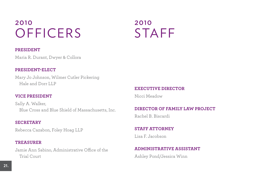# 2010 **OFFICERS**

# 2010 **STAFF**

#### **President**

Maria R. Durant, Dwyer & Collora

#### **President-Elect**

Mary Jo Johnson, Wilmer Cutler Pickering Hale and Dorr LLP

### **Vice President**

Sally A. Walker, Blue Cross and Blue Shield of Massachusetts, Inc.

#### **Secretary**

Rebecca Cazabon, Foley Hoag LLP

### **Treasurer**

Jamie Ann Sabino, Administrative Office of the Trial Court

### **Executive Director**

Nicci Meadow

### **Director of Family Law Project**

Rachel B. Biscardi

### **Staff Attorney**

Lisa F. Jacobson

### **Administrative Assistant**

Ashley Pond/Jessica Winn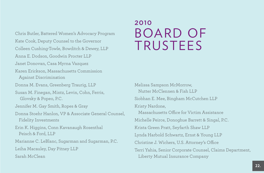Chris Butler, Battered Women's Advocacy Program Kate Cook, Deputy Counsel to the Governor Colleen Cushing-Towle, Bowditch & Dewey, LLP Anna E. Dodson, Goodwin Procter LLP Janet Donovan, Casa Myrna Vazquez Karen Erickson, Massachusetts Commission Against Discrimination Donna M. Evans, Greenberg Traurig, LLP Susan M. Finegan, Mintz, Levin, Cohn, Ferris, Glovsky & Popeo, P.C. Jennifer M. Gay Smith, Ropes & Gray Donna Stoehr Hanlon, VP & Associate General Counsel, Fidelity Investments Erin K. Higgins, Conn Kavanaugh Rosenthal Peisch & Ford, LLP Marianne C. LeBlanc, Sugarman and Sugarman, P.C. Leiha Macauley, Day Pitney LLP

Sarah McClean

# 2010 Board of **TRUSTEES**

Melissa Sampson McMorrow, Nutter McClennen & Fish LLP Siobhan E. Mee, Bingham McCutchen LLP Kristy Nardone, Massachusetts Office for Victim Assistance Michelle Peirce, Donoghue Barrett & Singal, P.C. Krista Green Pratt, Seyfarth Shaw LLP Lynda Harbold Schwartz, Ernst & Young LLP Christine J. Wichers, U.S. Attorney's Office Terri Yahia, Senior Corporate Counsel, Claims Department, Liberty Mutual Insurance Company